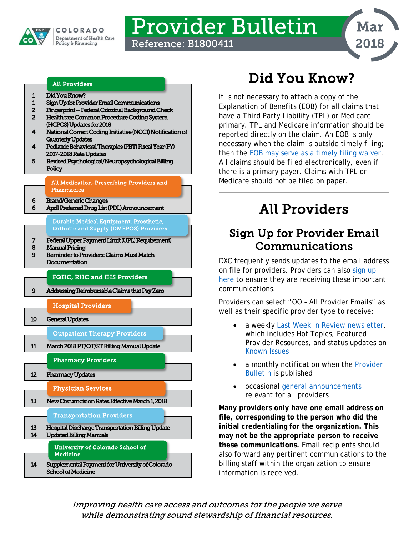

# Provider Bulletin

Reference: B1800411



### All Providers

- [1 Did You Know?](#page-0-0)
- [1 Sign Up for Provider Email Communications](#page-0-1)
- [2 Fingerprint Federal Criminal Background Check](#page-1-0)
- [2 Healthcare Common Procedure Coding System](#page-1-1)  [\(HCPCS\) Updates for 2018](#page-1-1)
- [4 National Correct Coding Initiative \(NCCI\) Notification of](#page-3-0)  [Quarterly Updates](#page-3-0)
- [4 Pediatric Behavioral Therapies \(PBT\) Fiscal Year \(FY\)](#page-3-1)  [2017-2018 Rate Updates](#page-3-1)
- [5 Revised Psychological/Neuropsychological Billing](#page-4-0)  **Policy**

[All Medication-Prescribing Providers and](#page-5-2)  [Pharmacies](#page-5-2) 

- [6 Brand/Generic Changes](#page-5-0)
- [6 April Preferred Drug List \(PDL\) Announcement](#page-5-1)

[Durable Medical Equipment, Prosthetic,](#page-6-1)  [Orthotic and Supply \(DMEPOS\) Providers](#page-6-1) 

- [7 Federal Upper Payment Limit \(UPL\) Requirement\)](#page-6-0)
- [8 Manual Pricing](#page-7-0)
- [9 Reminder to Providers: Claims Must Match](#page-8-0)  [Documentation](#page-8-0)

[FQHC, RHC and IHS Providers](#page-8-2) 

[9 Addressing Reimbursable Claims that Pay Zero](#page-8-1) 



## Did You Know?

<span id="page-0-0"></span>It is not necessary to attach a copy of the Explanation of Benefits (EOB) for all claims that have a Third Party Liability (TPL) or Medicare primary. TPL and Medicare information should be reported directly on the claim. An EOB is only necessary when the claim is outside timely filing; then the [EOB may serve as a timely filing waiver.](https://www.colorado.gov/pacific/sites/default/files/Update%20-%20Temporary%20Timely%20Filing%20Extension%2010-5-2017.pdf) All claims should be filed electronically, even if there is a primary payer. Claims with TPL or Medicare should not be filed on paper.

## All Providers

### <span id="page-0-1"></span>Sign Up for Provider Email Communications

DXC frequently sends updates to the email address on file for providers. Providers can also [sign up](https://visitor.r20.constantcontact.com/manage/optin?v=001S8e9mo0MpsE86DXgcWe4GkDAjM7AJsvlWnu_x2Rq4lJLrRo_JIR6VH_FPl-PSk69nMuCPyl-pMQhm1PeAN36FMGYk9hWzpfrgLNOYNso0Hs=)  [here](https://visitor.r20.constantcontact.com/manage/optin?v=001S8e9mo0MpsE86DXgcWe4GkDAjM7AJsvlWnu_x2Rq4lJLrRo_JIR6VH_FPl-PSk69nMuCPyl-pMQhm1PeAN36FMGYk9hWzpfrgLNOYNso0Hs=) to ensure they are receiving these important communications.

Providers can select "OO – All Provider Emails" as well as their specific provider type to receive:

- a weekly [Last Week in Review newsletter,](https://www.colorado.gov/hcpf/provider-news) which includes Hot Topics, Featured Provider Resources, and status updates on [Known Issues](https://www.colorado.gov/hcpf/known-issues)
- a monthly notification when the Provider [Bulletin](https://www.colorado.gov/hcpf/bulletins) is published
- occasional [general announcements](https://www.colorado.gov/hcpf/provider-news) relevant for all providers

**Many providers only have one email address on file, corresponding to the person who did the initial credentialing for the organization. This may not be the appropriate person to receive these communications.** Email recipients should also forward any pertinent communications to the billing staff within the organization to ensure information is received.

Improving health care access and outcomes for the people we serve while demonstrating sound stewardship of financial resources.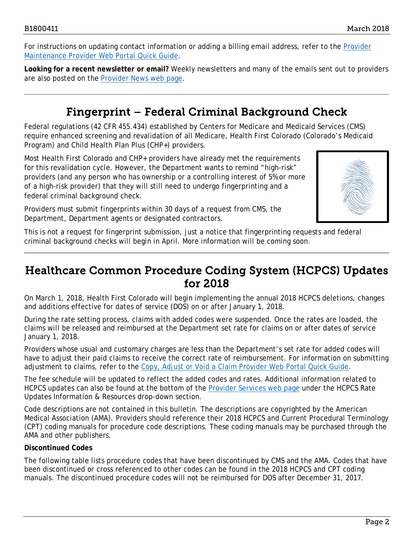For instructions on updating contact information or adding a billing email address, refer to the **Provider** [Maintenance Provider Web Portal Quick Guide.](https://www.colorado.gov/pacific/sites/default/files/Provider%20Maintenance%20021318.pdf)

**Looking for a recent newsletter or email?** Weekly newsletters and many of the emails sent out to providers are also posted on the [Provider News web page.](https://www.colorado.gov/hcpf/provider-news)

### Fingerprint – Federal Criminal Background Check

<span id="page-1-0"></span>Federal regulations (42 CFR 455.434) established by Centers for Medicare and Medicaid Services (CMS) require enhanced screening and revalidation of all Medicare, Health First Colorado (Colorado's Medicaid Program) and Child Health Plan *Plus* (CHP+) providers.

Most Health First Colorado and CHP+ providers have already met the requirements for this revalidation cycle. However, the Department wants to remind "high-risk" providers (and any person who has ownership or a controlling interest of 5% or more of a high-risk provider) that they will still need to undergo fingerprinting and a federal criminal background check.



Providers must submit fingerprints within 30 days of a request from CMS, the Department, Department agents or designated contractors.

This is not a request for fingerprint submission, just a notice that fingerprinting requests and federal criminal background checks will begin in April. More information will be coming soon.

### <span id="page-1-1"></span>Healthcare Common Procedure Coding System (HCPCS) Updates for 2018

On March 1, 2018, Health First Colorado will begin implementing the annual 2018 HCPCS deletions, changes and additions effective for dates of service (DOS) on or after January 1, 2018.

During the rate setting process, claims with added codes were suspended. Once the rates are loaded, the claims will be released and reimbursed at the Department set rate for claims on or after dates of service January 1, 2018.

Providers whose usual and customary charges are less than the Department's set rate for added codes will have to adjust their paid claims to receive the correct rate of reimbursement. For information on submitting adjustment to claims, refer to the [Copy, Adjust or Void a Claim Provider Web Portal Quick Guide.](https://www.colorado.gov/pacific/sites/default/files/Copy%20Adjust%20or%20Void%20a%20Claim%20021318.pdf)

The fee schedule will be updated to reflect the added codes and rates. Additional information related to HCPCS updates can also be found at the bottom of the [Provider Services web page](https://www.colorado.gov/pacific/hcpf/provider-services) under the HCPCS Rate Updates Information & Resources drop-down section.

Code descriptions are not contained in this bulletin. The descriptions are copyrighted by the American Medical Association (AMA). Providers should reference their 2018 HCPCS and Current Procedural Terminology (CPT) coding manuals for procedure code descriptions. These coding manuals may be purchased through the AMA and other publishers.

### **Discontinued Codes**

The following table lists procedure codes that have been discontinued by CMS and the AMA. Codes that have been discontinued or cross referenced to other codes can be found in the 2018 HCPCS and CPT coding manuals. The discontinued procedure codes will not be reimbursed for DOS after December 31, 2017.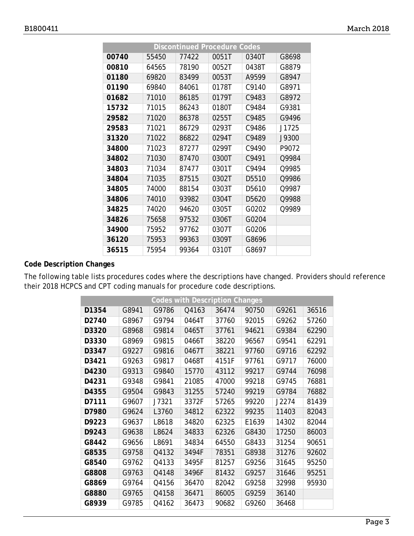|       |       |       | <b>Discontinued Procedure Codes</b> |                   |       |
|-------|-------|-------|-------------------------------------|-------------------|-------|
| 00740 | 55450 | 77422 | 0051T                               | 0340T             | G8698 |
| 00810 | 64565 | 78190 | 0052T                               | 0438T             | G8879 |
| 01180 | 69820 | 83499 | 0053T                               | A9599             | G8947 |
| 01190 | 69840 | 84061 | 0178T                               | C9140             | G8971 |
| 01682 | 71010 | 86185 | 0179T                               | C9483             | G8972 |
| 15732 | 71015 | 86243 | 0180T                               | C9484             | G9381 |
| 29582 | 71020 | 86378 | 0255T                               | C9485             | G9496 |
| 29583 | 71021 | 86729 | 0293T                               | C9486             | J1725 |
| 31320 | 71022 | 86822 | 0294T                               | C9489             | J9300 |
| 34800 | 71023 | 87277 | 0299T                               | C9490             | P9072 |
| 34802 | 71030 | 87470 | 0300T                               | C9491             | Q9984 |
| 34803 | 71034 | 87477 | 0301T                               | C9494             | 09985 |
| 34804 | 71035 | 87515 | 0302T                               | D5510             | Q9986 |
| 34805 | 74000 | 88154 | 0303T                               | D <sub>5610</sub> | Q9987 |
| 34806 | 74010 | 93982 | 0304T                               | D5620             | Q9988 |
| 34825 | 74020 | 94620 | 0305T                               | G0202             | Q9989 |
| 34826 | 75658 | 97532 | 0306T                               | G0204             |       |
| 34900 | 75952 | 97762 | 0307T                               | G0206             |       |
| 36120 | 75953 | 99363 | 0309T                               | G8696             |       |
| 36515 | 75954 | 99364 | 0310T                               | G8697             |       |

### **Code Description Changes**

The following table lists procedures codes where the descriptions have changed. Providers should reference their 2018 HCPCS and CPT coding manuals for procedure code descriptions.

| <b>Codes with Description Changes</b> |       |       |       |       |       |       |       |
|---------------------------------------|-------|-------|-------|-------|-------|-------|-------|
| D1354                                 | G8941 | G9786 | Q4163 | 36474 | 90750 | G9261 | 36516 |
| D2740                                 | G8967 | G9794 | 0464T | 37760 | 92015 | G9262 | 57260 |
| D3320                                 | G8968 | G9814 | 0465T | 37761 | 94621 | G9384 | 62290 |
| D3330                                 | G8969 | G9815 | 0466T | 38220 | 96567 | G9541 | 62291 |
| D3347                                 | G9227 | G9816 | 0467T | 38221 | 97760 | G9716 | 62292 |
| D3421                                 | G9263 | G9817 | 0468T | 4151F | 97761 | G9717 | 76000 |
| D4230                                 | G9313 | G9840 | 15770 | 43112 | 99217 | G9744 | 76098 |
| D4231                                 | G9348 | G9841 | 21085 | 47000 | 99218 | G9745 | 76881 |
| D4355                                 | G9504 | G9843 | 31255 | 57240 | 99219 | G9784 | 76882 |
| D7111                                 | G9607 | J7321 | 3372F | 57265 | 99220 | J2274 | 81439 |
| D7980                                 | G9624 | L3760 | 34812 | 62322 | 99235 | 11403 | 82043 |
| D9223                                 | G9637 | L8618 | 34820 | 62325 | E1639 | 14302 | 82044 |
| D9243                                 | G9638 | L8624 | 34833 | 62326 | G8430 | 17250 | 86003 |
| G8442                                 | G9656 | L8691 | 34834 | 64550 | G8433 | 31254 | 90651 |
| G8535                                 | G9758 | Q4132 | 3494F | 78351 | G8938 | 31276 | 92602 |
| G8540                                 | G9762 | Q4133 | 3495F | 81257 | G9256 | 31645 | 95250 |
| G8808                                 | G9763 | Q4148 | 3496F | 81432 | G9257 | 31646 | 95251 |
| G8869                                 | G9764 | Q4156 | 36470 | 82042 | G9258 | 32998 | 95930 |
| G8880                                 | G9765 | Q4158 | 36471 | 86005 | G9259 | 36140 |       |
| G8939                                 | G9785 | Q4162 | 36473 | 90682 | G9260 | 36468 |       |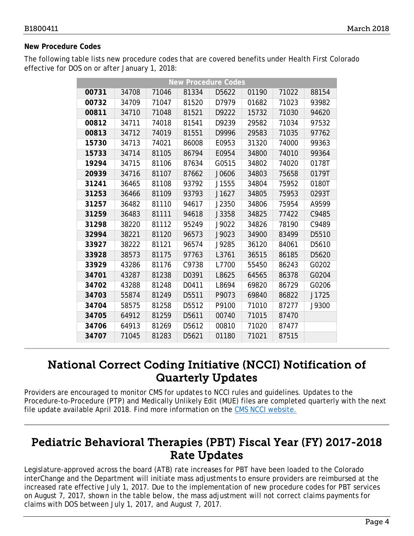### **New Procedure Codes**

The following table lists new procedure codes that are covered benefits under Health First Colorado effective for DOS on or after January 1, 2018:

| <b>New Procedure Codes</b> |       |       |                   |       |       |       |       |
|----------------------------|-------|-------|-------------------|-------|-------|-------|-------|
| 00731                      | 34708 | 71046 | 81334             | D5622 | 01190 | 71022 | 88154 |
| 00732                      | 34709 | 71047 | 81520             | D7979 | 01682 | 71023 | 93982 |
| 00811                      | 34710 | 71048 | 81521             | D9222 | 15732 | 71030 | 94620 |
| 00812                      | 34711 | 74018 | 81541             | D9239 | 29582 | 71034 | 97532 |
| 00813                      | 34712 | 74019 | 81551             | D9996 | 29583 | 71035 | 97762 |
| 15730                      | 34713 | 74021 | 86008             | E0953 | 31320 | 74000 | 99363 |
| 15733                      | 34714 | 81105 | 86794             | E0954 | 34800 | 74010 | 99364 |
| 19294                      | 34715 | 81106 | 87634             | G0515 | 34802 | 74020 | 0178T |
| 20939                      | 34716 | 81107 | 87662             | J0606 | 34803 | 75658 | 0179T |
| 31241                      | 36465 | 81108 | 93792             | J1555 | 34804 | 75952 | 0180T |
| 31253                      | 36466 | 81109 | 93793             | J1627 | 34805 | 75953 | 0293T |
| 31257                      | 36482 | 81110 | 94617             | J2350 | 34806 | 75954 | A9599 |
| 31259                      | 36483 | 81111 | 94618             | J3358 | 34825 | 77422 | C9485 |
| 31298                      | 38220 | 81112 | 95249             | J9022 | 34826 | 78190 | C9489 |
| 32994                      | 38221 | 81120 | 96573             | J9023 | 34900 | 83499 | D5510 |
| 33927                      | 38222 | 81121 | 96574             | J9285 | 36120 | 84061 | D5610 |
| 33928                      | 38573 | 81175 | 97763             | L3761 | 36515 | 86185 | D5620 |
| 33929                      | 43286 | 81176 | C9738             | L7700 | 55450 | 86243 | G0202 |
| 34701                      | 43287 | 81238 | D0391             | L8625 | 64565 | 86378 | G0204 |
| 34702                      | 43288 | 81248 | D0411             | L8694 | 69820 | 86729 | G0206 |
| 34703                      | 55874 | 81249 | D5511             | P9073 | 69840 | 86822 | J1725 |
| 34704                      | 58575 | 81258 | D5512             | P9100 | 71010 | 87277 | J9300 |
| 34705                      | 64912 | 81259 | D5611             | 00740 | 71015 | 87470 |       |
| 34706                      | 64913 | 81269 | D <sub>5612</sub> | 00810 | 71020 | 87477 |       |
| 34707                      | 71045 | 81283 | D5621             | 01180 | 71021 | 87515 |       |

### <span id="page-3-0"></span>National Correct Coding Initiative (NCCI) Notification of Quarterly Updates

Providers are encouraged to monitor CMS for updates to NCCI rules and guidelines. Updates to the Procedure-to-Procedure (PTP) and Medically Unlikely Edit (MUE) files are completed quarterly with the next file update available April 2018. Find more information on the [CMS NCCI website.](https://www.medicaid.gov/medicaid/program-integrity/ncci/index.html)

### <span id="page-3-1"></span>Pediatric Behavioral Therapies (PBT) Fiscal Year (FY) 2017-2018 Rate Updates

Legislature-approved across the board (ATB) rate increases for PBT have been loaded to the Colorado interChange and the Department will initiate mass adjustments to ensure providers are reimbursed at the increased rate effective July 1, 2017. Due to the implementation of new procedure codes for PBT services on August 7, 2017, shown in the table below, the mass adjustment will not correct claims payments for claims with DOS between July 1, 2017, and August 7, 2017.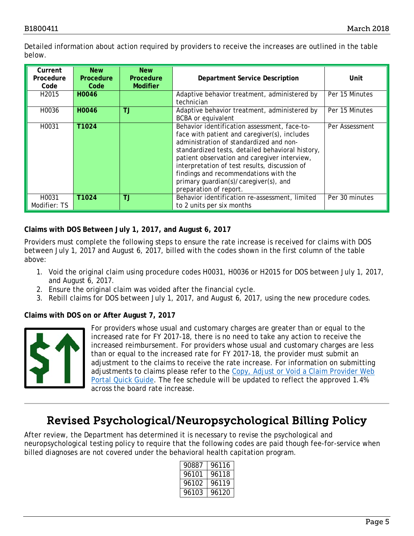Detailed information about action required by providers to receive the increases are outlined in the table below.

| Current<br>Procedure<br>Code | <b>New</b><br><b>Procedure</b><br>Code | <b>New</b><br>Procedure<br><b>Modifier</b> | <b>Department Service Description</b>                                                                                                                                                                                                                                                                                                                                                                    | Unit           |
|------------------------------|----------------------------------------|--------------------------------------------|----------------------------------------------------------------------------------------------------------------------------------------------------------------------------------------------------------------------------------------------------------------------------------------------------------------------------------------------------------------------------------------------------------|----------------|
| H <sub>2015</sub>            | H0046                                  |                                            | Adaptive behavior treatment, administered by<br>technician                                                                                                                                                                                                                                                                                                                                               | Per 15 Minutes |
| H0036                        | H0046                                  | ТJ                                         | Adaptive behavior treatment, administered by<br><b>BCBA</b> or equivalent                                                                                                                                                                                                                                                                                                                                | Per 15 Minutes |
| H0031                        | T1024                                  |                                            | Behavior identification assessment, face-to-<br>face with patient and caregiver(s), includes<br>administration of standardized and non-<br>standardized tests, detailed behavioral history,<br>patient observation and caregiver interview,<br>interpretation of test results, discussion of<br>findings and recommendations with the<br>primary guardian(s)/caregiver(s), and<br>preparation of report. | Per Assessment |
| H0031<br>Modifier: TS        | T1024                                  | ТJ                                         | Behavior identification re-assessment, limited<br>to 2 units per six months                                                                                                                                                                                                                                                                                                                              | Per 30 minutes |

### **Claims with DOS Between July 1, 2017, and August 6, 2017**

Providers must complete the following steps to ensure the rate increase is received for claims with DOS between July 1, 2017 and August 6, 2017, billed with the codes shown in the first column of the table above:

- 1. Void the original claim using procedure codes H0031, H0036 or H2015 for DOS between July 1, 2017, and August 6, 2017.
- 2. Ensure the original claim was voided after the financial cycle.
- 3. Rebill claims for DOS between July 1, 2017, and August 6, 2017, using the new procedure codes.

### **Claims with DOS on or After August 7, 2017**



For providers whose usual and customary charges are greater than or equal to the increased rate for FY 2017-18, there is no need to take any action to receive the increased reimbursement. For providers whose usual and customary charges are less than or equal to the increased rate for FY 2017-18, the provider must submit an adjustment to the claims to receive the rate increase. For information on submitting adjustments to claims please refer to the [Copy, Adjust or Void a Claim Provider Web](https://www.colorado.gov/pacific/sites/default/files/Copy%20Adjust%20or%20Void%20a%20Claim%20021318.pdf)  [Portal Quick Guide.](https://www.colorado.gov/pacific/sites/default/files/Copy%20Adjust%20or%20Void%20a%20Claim%20021318.pdf) The fee schedule will be updated to reflect the approved 1.4% across the board rate increase.

## Revised Psychological/Neuropsychological Billing Policy

<span id="page-4-0"></span>After review, the Department has determined it is necessary to revise the psychological and neuropsychological testing policy to require that the following codes are paid though fee-for-service when billed diagnoses are not covered under the behavioral health capitation program.

| 90887 | 96116 |
|-------|-------|
| 96101 | 96118 |
| 96102 | 96119 |
| 96103 | 96120 |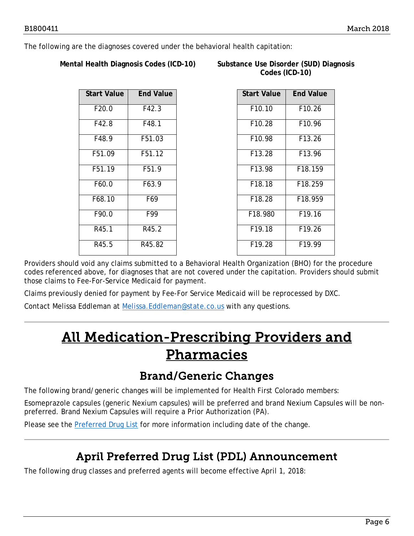The following are the diagnoses covered under the behavioral health capitation:

**Mental Health Diagnosis Codes (ICD-10)** 

| Substance Use Disorder (SUD) Diagnosis |  |
|----------------------------------------|--|
| Codes (ICD-10)                         |  |

| <b>Start Value</b> | <b>End Value</b> |
|--------------------|------------------|
| F20.0              | F42.3            |
| F42.8              | F48.1            |
| F48.9              | F51.03           |
| F51.09             | F51.12           |
| F51.19             | F51.9            |
| F60.0              | F63.9            |
| F68.10             | F69              |
| F90.0              | F99              |
| R45.1              | R45.2            |
| R45.5              | R45.82           |

| <b>Start Value</b> | <b>End Value</b>    |
|--------------------|---------------------|
| F10.10             | F <sub>10.26</sub>  |
| F10.28             | F10.96              |
| F <sub>10.98</sub> | F13.26              |
| F13.28             | F13.96              |
| F13.98             | F18.159             |
| F18.18             | F <sub>18</sub> 259 |
| F18.28             | F18.959             |
| F18.980            | F <sub>19.16</sub>  |
| F19.18             | F19.26              |
| F19.28             | F <sub>19.99</sub>  |

Providers should void any claims submitted to a Behavioral Health Organization (BHO) for the procedure codes referenced above, for diagnoses that are not covered under the capitation. Providers should submit those claims to Fee-For-Service Medicaid for payment.

Claims previously denied for payment by Fee-For Service Medicaid will be reprocessed by DXC.

<span id="page-5-2"></span>Contact Melissa Eddleman at [Melissa.Eddleman@state.co.us](mailto:Melissa.Eddleman@state.co.us) with any questions.

## All Medication-Prescribing Providers and Pharmacies

### Brand/Generic Changes

<span id="page-5-0"></span>The following brand/generic changes will be implemented for Health First Colorado members:

Esomeprazole capsules (generic Nexium capsules) will be preferred and brand Nexium Capsules will be nonpreferred. Brand Nexium Capsules will require a Prior Authorization (PA).

<span id="page-5-1"></span>Please see the [Preferred Drug List](https://www.colorado.gov/pacific/sites/default/files/Preferred%20Drug%20List%20effective%20January%201%2C%202018%20v4.pdf) for more information including date of the change.

## April Preferred Drug List (PDL) Announcement

The following drug classes and preferred agents will become effective April 1, 2018: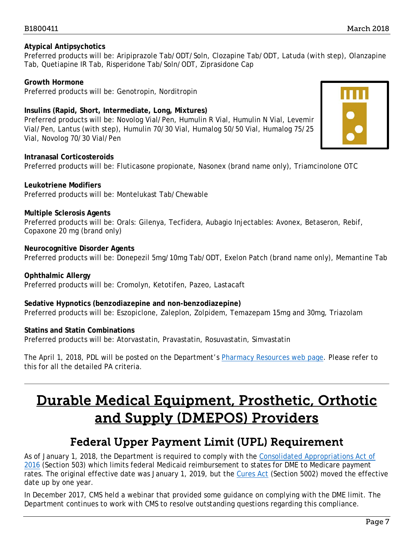### **Atypical Antipsychotics**

Preferred products will be: Aripiprazole Tab/ODT/Soln, Clozapine Tab/ODT, Latuda (*with step*), Olanzapine Tab, Quetiapine IR Tab, Risperidone Tab/Soln/ODT, Ziprasidone Cap

**Growth Hormone** Preferred products will be: Genotropin, Norditropin

### **Insulins (Rapid, Short, Intermediate, Long, Mixtures)**

Preferred products will be: Novolog Vial/Pen, Humulin R Vial, Humulin N Vial, Levemir Vial/Pen, Lantus (with step), Humulin 70/30 Vial, Humalog 50/50 Vial, Humalog 75/25 Vial, Novolog 70/30 Vial/Pen



**Intranasal Corticosteroids** Preferred products will be: Fluticasone propionate, Nasonex (brand name only), Triamcinolone OTC

### **Leukotriene Modifiers**

Preferred products will be: Montelukast Tab/Chewable

#### **Multiple Sclerosis Agents**

Preferred products will be: Orals: Gilenya, Tecfidera, Aubagio Injectables: Avonex, Betaseron, Rebif, Copaxone 20 mg (brand only)

#### **Neurocognitive Disorder Agents**

Preferred products will be: Donepezil 5mg/10mg Tab/ODT, Exelon Patch (brand name only), Memantine Tab

### **Ophthalmic Allergy**

Preferred products will be: Cromolyn, Ketotifen, Pazeo, Lastacaft

### **Sedative Hypnotics (benzodiazepine and non-benzodiazepine)**

Preferred products will be: Eszopiclone, Zaleplon, Zolpidem, Temazepam 15mg and 30mg, Triazolam

#### **Statins and Statin Combinations**

Preferred products will be: Atorvastatin, Pravastatin, Rosuvastatin, Simvastatin

The April 1, 2018, PDL will be posted on the Department's [Pharmacy Resources web page.](https://www.colorado.gov/hcpf/pharmacy-resources) Please refer to this for all the detailed PA criteria.

## <span id="page-6-1"></span>Durable Medical Equipment, Prosthetic, Orthotic and Supply (DMEPOS) Providers

### Federal Upper Payment Limit (UPL) Requirement

<span id="page-6-0"></span>As of January 1, 2018, the Department is required to comply with the [Consolidated Appropriations Act of](https://www.congress.gov/bill/114th-congress/house-bill/2029/text?q=%7B%22search%22%3A%5B%22public+law+114-113%22%5D%7D&r=1)  [2016](https://www.congress.gov/bill/114th-congress/house-bill/2029/text?q=%7B%22search%22%3A%5B%22public+law+114-113%22%5D%7D&r=1) (Section 503) which limits federal Medicaid reimbursement to states for DME to Medicare payment rates. The original effective date was January 1, 2019, but the [Cures Act](https://www.congress.gov/bill/114th-congress/house-bill/34/text?q=%7B%22search%22%3A%5B%22public+law+no%3A+114-255.%22%5D%7D&r=1) (Section 5002) moved the effective date up by one year.

In December 2017, CMS held a webinar that provided some guidance on complying with the DME limit. The Department continues to work with CMS to resolve outstanding questions regarding this compliance.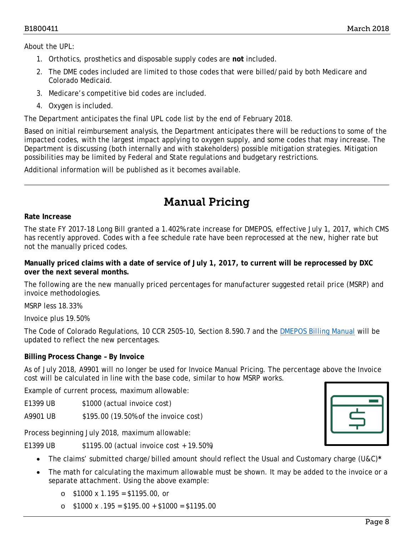About the UPL:

- 1. Orthotics, prosthetics and disposable supply codes are **not** included.
- 2. The DME codes included are limited to those codes that were billed/paid by both Medicare and Colorado Medicaid.
- 3. Medicare's competitive bid codes are included.
- 4. Oxygen is included.

The Department anticipates the final UPL code list by the end of February 2018.

Based on initial reimbursement analysis, the Department anticipates there will be reductions to some of the impacted codes, with the largest impact applying to oxygen supply, and some codes that may increase. The Department is discussing (both internally and with stakeholders) possible mitigation strategies. Mitigation possibilities may be limited by Federal and State regulations and budgetary restrictions.

Additional information will be published as it becomes available.

## Manual Pricing

#### <span id="page-7-0"></span>**Rate Increase**

The state FY 2017-18 Long Bill granted a 1.402% rate increase for DMEPOS, effective July 1, 2017, which CMS has recently approved. Codes with a fee schedule rate have been reprocessed at the new, higher rate but not the manually priced codes.

**Manually priced claims with a date of service of July 1, 2017, to current will be reprocessed by DXC over the next several months.**

The following are the new manually priced percentages for manufacturer suggested retail price (MSRP) and invoice methodologies.

MSRP less 18.33%

Invoice plus 19.50%

The Code of Colorado Regulations, 10 CCR 2505-10, Section 8.590.7 and the [DMEPOS Billing Manual](https://www.colorado.gov/pacific/sites/default/files/DMEPOS%20Billing%20Manual%20v1_1.pdf) will be updated to reflect the new percentages.

### **Billing Process Change – By Invoice**

As of July 2018, A9901 will no longer be used for Invoice Manual Pricing. The percentage above the Invoice cost will be calculated in line with the base code, similar to how MSRP works.

Example of current process, maximum allowable:

E1399 UB \$1000 (actual invoice cost)

A9901 UB \$195.00 (19.50% of the invoice cost)

Process beginning July 2018, maximum allowable:

E1399 UB \$1195.00 (actual invoice cost + 19.50%)

- The claims' submitted charge/billed amount should reflect the Usual and Customary charge (U&C)**\***
- The math for calculating the maximum allowable must be shown. It may be added to the invoice or a separate attachment. Using the above example:
	- $\circ$  \$1000 x 1.195 = \$1195.00, or
	- $\circ$  \$1000 x .195 = \$195.00 + \$1000 = \$1195.00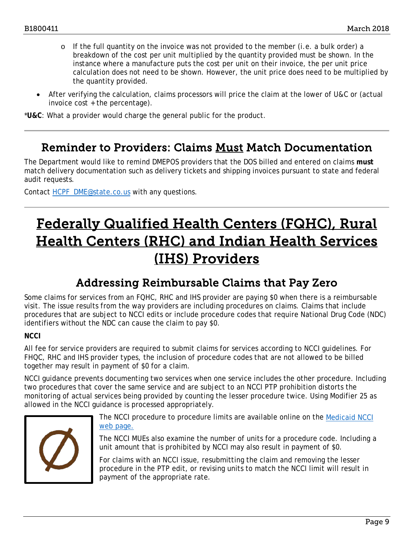- o If the full quantity on the invoice was not provided to the member (i.e. a bulk order) a breakdown of the cost per unit multiplied by the quantity provided must be shown. In the instance where a manufacture puts the cost per unit on their invoice, the per unit price calculation does not need to be shown. However, the unit price does need to be multiplied by the quantity provided.
- After verifying the calculation, claims processors will price the claim at the lower of U&C or (actual invoice cost + the percentage).

\***U&C**: What a provider would charge the general public for the product.

### <span id="page-8-0"></span>Reminder to Providers: Claims Must Match Documentation

The Department would like to remind DMEPOS providers that the DOS billed and entered on claims **must** match delivery documentation such as delivery tickets and shipping invoices pursuant to state and federal audit requests.

Contact [HCPF\\_DME@state.co.us](mailto:HCPF_DME@state.co.us) with any questions.

## <span id="page-8-2"></span>Federally Qualified Health Centers (FQHC), Rural Health Centers (RHC) and Indian Health Services (IHS) Providers

### Addressing Reimbursable Claims that Pay Zero

<span id="page-8-1"></span>Some claims for services from an FQHC, RHC and IHS provider are paying \$0 when there is a reimbursable visit. The issue results from the way providers are including procedures on claims. Claims that include procedures that are subject to NCCI edits or include procedure codes that require National Drug Code (NDC) identifiers without the NDC can cause the claim to pay \$0.

### **NCCI**

All fee for service providers are required to submit claims for services according to NCCI guidelines. For FHQC, RHC and IHS provider types, the inclusion of procedure codes that are not allowed to be billed together may result in payment of \$0 for a claim.

NCCI guidance prevents documenting two services when one service includes the other procedure. Including two procedures that cover the same service and are subject to an NCCI PTP prohibition distorts the monitoring of actual services being provided by counting the lesser procedure twice. Using Modifier 25 as allowed in the NCCI guidance is processed appropriately.



The NCCI procedure to procedure limits are available online on the [Medicaid NCCI](https://www.medicaid.gov/medicaid/program-integrity/ncci/index.html)  [web page.](https://www.medicaid.gov/medicaid/program-integrity/ncci/index.html)

The NCCI MUEs also examine the number of units for a procedure code. Including a unit amount that is prohibited by NCCI may also result in payment of \$0.

For claims with an NCCI issue, resubmitting the claim and removing the lesser procedure in the PTP edit, or revising units to match the NCCI limit will result in payment of the appropriate rate.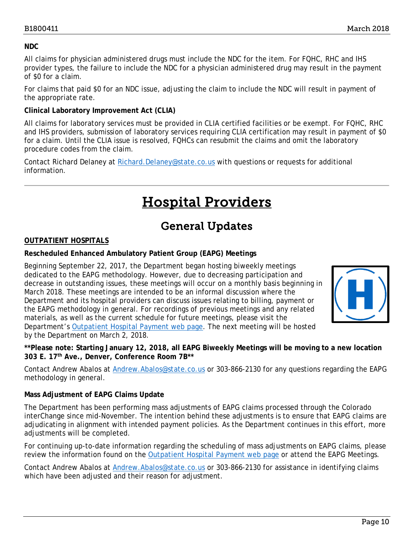### **NDC**

All claims for physician administered drugs must include the NDC for the item. For FQHC, RHC and IHS provider types, the failure to include the NDC for a physician administered drug may result in the payment of \$0 for a claim.

For claims that paid \$0 for an NDC issue, adjusting the claim to include the NDC will result in payment of the appropriate rate.

### **Clinical Laboratory Improvement Act (CLIA)**

All claims for laboratory services must be provided in CLIA certified facilities or be exempt. For FQHC, RHC and IHS providers, submission of laboratory services requiring CLIA certification may result in payment of \$0 for a claim. Until the CLIA issue is resolved, FQHCs can resubmit the claims and omit the laboratory procedure codes from the claim.

<span id="page-9-1"></span>Contact Richard Delaney at [Richard.Delaney@state.co.us](mailto:Richard.Delaney@state.co.us) with questions or requests for additional information.

## Hospital Providers

## General Updates

### <span id="page-9-0"></span>**OUTPATIENT HOSPITALS**

### **Rescheduled Enhanced Ambulatory Patient Group (EAPG) Meetings**

Beginning September 22, 2017, the Department began hosting biweekly meetings dedicated to the EAPG methodology. However, due to decreasing participation and decrease in outstanding issues, these meetings will occur on a monthly basis beginning in March 2018. These meetings are intended to be an informal discussion where the Department and its hospital providers can discuss issues relating to billing, payment or the EAPG methodology in general. For recordings of previous meetings and any related materials, as well as the current schedule for future meetings, please visit the Department's [Outpatient Hospital Payment web page.](https://www.colorado.gov/pacific/hcpf/outpatient-hospital-payment) The next meeting will be hosted by the Department on March 2, 2018.



**\*\*Please note: Starting January 12, 2018, all EAPG Biweekly Meetings will be moving to a new location 303 E. 17th Ave., Denver, Conference Room 7B\*\***

Contact Andrew Abalos at [Andrew.Abalos@state.co.us](mailto:Andrew.Abalos@state.co.us) or 303-866-2130 for any questions regarding the EAPG methodology in general.

### **Mass Adjustment of EAPG Claims Update**

The Department has been performing mass adjustments of EAPG claims processed through the Colorado interChange since mid-November. The intention behind these adjustments is to ensure that EAPG claims are adjudicating in alignment with intended payment policies. As the Department continues in this effort, more adjustments will be completed.

For continuing up-to-date information regarding the scheduling of mass adjustments on EAPG claims, please review the information found on the [Outpatient Hospital Payment web page](https://www.colorado.gov/pacific/hcpf/outpatient-hospital-payment) or attend the EAPG Meetings.

Contact Andrew Abalos at [Andrew.Abalos@state.co.us](mailto:Andrew.Abalos@state.co.us) or 303-866-2130 for assistance in identifying claims which have been adjusted and their reason for adjustment.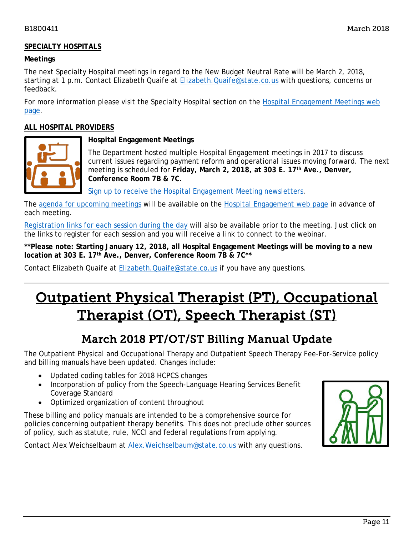### **SPECIALTY HOSPITALS**

#### **Meetings**

The next Specialty Hospital meetings in regard to the New Budget Neutral Rate will be March 2, 2018, starting at 1 p.m. Contact Elizabeth Quaife at [Elizabeth.Quaife@state.co.us](mailto:Elizabeth.Quaife@state.co.us) with questions, concerns or feedback.

For more information please visit the Specialty Hospital section on the [Hospital Engagement Meetings web](https://www.colorado.gov/pacific/hcpf/hospital-engagement-meetings)  [page.](https://www.colorado.gov/pacific/hcpf/hospital-engagement-meetings)

#### **ALL HOSPITAL PROVIDERS**



### **Hospital Engagement Meetings**

The Department hosted multiple Hospital Engagement meetings in 2017 to discuss current issues regarding payment reform and operational issues moving forward. The next meeting is scheduled for **Friday, March 2, 2018, at 303 E. 17th Ave., Denver, Conference Room 7B & 7C.**

[Sign up to receive the Hospital Engagement Meeting newsletters.](https://visitor.r20.constantcontact.com/manage/optin?v=001HfxrbpGNWZ0lZnPp6t3PG2s9XPNl8ZvgFdjsKvSnhIy8z9JmHyp6DeoLJ3saT6x0SeqRR1ub149uoXxe1ok4jTzfMSQ0BN7S5vcLiRO7gdY%3D)

The [agenda for upcoming meetings](https://www.colorado.gov/pacific/hcpf/hospital-engagement-meetings) will be available on the [Hospital Engagement web page](https://www.colorado.gov/pacific/hcpf/hospital-engagement-meetings) in advance of each meeting.

[Registration links for each session during the day](https://cohcpf.sharepoint.com/eClearance/eClearanceDocuments/2018%20March%20Provider%20Bulletin/:%20%20https:/www.colorado.gov/pacific/hcpf/hospital-engagement-meetings) will also be available prior to the meeting. Just click on the links to register for each session and you will receive a link to connect to the webinar.

**\*\*Please note: Starting January 12, 2018, all Hospital Engagement Meetings will be moving to a new location at 303 E. 17th Ave., Denver, Conference Room 7B & 7C\*\***

Contact Elizabeth Quaife at [Elizabeth.Quaife@state.co.us](mailto:Elizabeth.Quaife@state.co.us) if you have any questions.

## <span id="page-10-1"></span>Outpatient Physical Therapist (PT), Occupational Therapist (OT), Speech Therapist (ST)

## March 2018 PT/OT/ST Billing Manual Update

<span id="page-10-0"></span>The [Outpatient Physical and Occupational Therapy](https://www.colorado.gov/pacific/sites/default/files/CMS1500_PT_OT%20v1_8_1_1.pdf) and [Outpatient Speech Therapy](https://www.colorado.gov/pacific/sites/default/files/CMS1500_Speech%20v1_4.pdf) Fee-For-Service policy and billing manuals have been updated. Changes include:

- Updated coding tables for 2018 HCPCS changes
- Incorporation of policy from the Speech-Language Hearing Services Benefit Coverage Standard
- Optimized organization of content throughout

These billing and policy manuals are intended to be a comprehensive source for policies concerning outpatient therapy benefits. This does not preclude other sources of policy, such as statute, rule, NCCI and federal regulations from applying.

Contact Alex Weichselbaum at [Alex.Weichselbaum@state.co.us](mailto:Alex.Weichselbaum@state.co.us) with any questions.

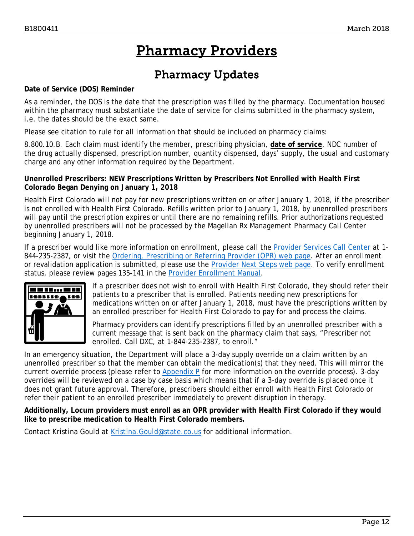## Pharmacy Providers

## Pharmacy Updates

#### <span id="page-11-1"></span><span id="page-11-0"></span>**Date of Service (DOS) Reminder**

As a reminder, the DOS is the date that the prescription was filled by the pharmacy. Documentation housed within the pharmacy must substantiate the date of service for claims submitted in the pharmacy system, i.e. the dates should be the exact same.

Please see citation to rule for all information that should be included on pharmacy claims:

8.800.10.B. Each claim must identify the member, prescribing physician, **date of service**, NDC number of the drug actually dispensed, prescription number, quantity dispensed, days' supply, the usual and customary charge and any other information required by the Department.

### **Unenrolled Prescribers: NEW Prescriptions Written by Prescribers Not Enrolled with Health First Colorado Began Denying on January 1, 2018**

Health First Colorado will not pay for new prescriptions written on or after January 1, 2018, if the prescriber is not enrolled with Health First Colorado. Refills written prior to January 1, 2018, by unenrolled prescribers will pay until the prescription expires or until there are no remaining refills. Prior authorizations requested by unenrolled prescribers will not be processed by the Magellan Rx Management Pharmacy Call Center beginning January 1, 2018.

If a prescriber would like more information on enrollment, please call the [Provider Services Call Center](https://www.colorado.gov/pacific/sites/default/files/Provider%20Call%20Center%20Cheat%20Sheet.pdf) at 1- 844-235-2387, or visit the [Ordering, Prescribing or Referring Provider \(OPR\) web page.](https://www.colorado.gov/pacific/hcpf/OPR) After an enrollment or revalidation application is submitted, please use the [Provider Next Steps web page.](https://www.colorado.gov/hcpf/provider-next-steps) To verify enrollment status, please review pages 135-141 in the [Provider Enrollment Manual.](https://drive.google.com/open?id=0ByTJ5EpY6wocblcwZFUwSGVkeTQ)



If a prescriber does not wish to enroll with Health First Colorado, they should refer their patients to a prescriber that is enrolled. Patients needing new prescriptions for medications written on or after January 1, 2018, must have the prescriptions written by an enrolled prescriber for Health First Colorado to pay for and process the claims.

Pharmacy providers can identify prescriptions filled by an unenrolled prescriber with a current message that is sent back on the pharmacy claim that says, "Prescriber not enrolled. Call DXC, at 1-844-235-2387, to enroll."

In an emergency situation, the Department will place a 3-day supply override on a claim written by an unenrolled prescriber so that the member can obtain the medication(s) that they need. This will mirror the current override process (please refer to Appendix  $P$  for more information on the override process). 3-day overrides will be reviewed on a case by case basis which means that if a 3-day override is placed once it does not grant future approval. Therefore, prescribers should either enroll with Health First Colorado or refer their patient to an enrolled prescriber immediately to prevent disruption in therapy.

**Additionally, Locum providers must enroll as an OPR provider with Health First Colorado if they would like to prescribe medication to Health First Colorado members.**

Contact Kristina Gould at Kristina. Gould@state.co.us for additional information.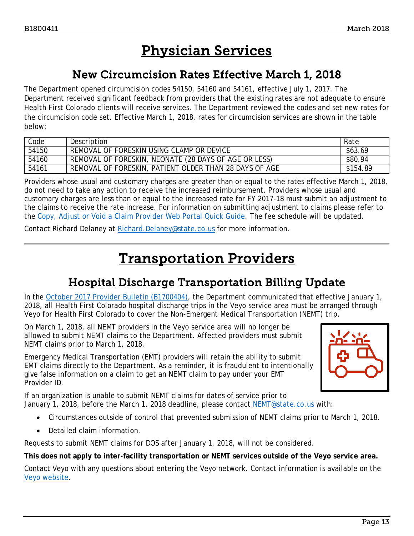## Physician Services

### New Circumcision Rates Effective March 1, 2018

<span id="page-12-2"></span><span id="page-12-0"></span>The Department opened circumcision codes 54150, 54160 and 54161, effective July 1, 2017. The Department received significant feedback from providers that the existing rates are not adequate to ensure Health First Colorado clients will receive services. The Department reviewed the codes and set new rates for the circumcision code set. Effective March 1, 2018, rates for circumcision services are shown in the table below:

| Code  | Description                                            | Rate     |
|-------|--------------------------------------------------------|----------|
| 54150 | REMOVAL OF FORESKIN USING CLAMP OR DEVICE              | \$63.69  |
| 54160 | REMOVAL OF FORESKIN, NEONATE (28 DAYS OF AGE OR LESS)  | \$80.94  |
| 54161 | REMOVAL OF FORESKIN, PATIENT OLDER THAN 28 DAYS OF AGE | \$154.89 |

Providers whose usual and customary charges are greater than or equal to the rates effective March 1, 2018, do not need to take any action to receive the increased reimbursement. Providers whose usual and customary charges are less than or equal to the increased rate for FY 2017-18 must submit an adjustment to the claims to receive the rate increase. For information on submitting adjustment to claims please refer to the [Copy, Adjust or Void a Claim Provider Web Portal Quick Guide.](https://www.colorado.gov/pacific/sites/default/files/Copy%20Adjust%20or%20Void%20a%20Claim%20021318.pdf) The fee schedule will be updated.

<span id="page-12-3"></span>Contact Richard Delaney at [Richard.Delaney@state.co.us](mailto:Richard.Delaney@state.co.us) for more information.

## Transportation Providers

## Hospital Discharge Transportation Billing Update

<span id="page-12-1"></span>In the [October 2017 Provider Bulletin \(B1700404\),](https://www.colorado.gov/pacific/sites/default/files/Bulletin_1017_B1700404.pdf) the Department communicated that effective January 1, 2018, all Health First Colorado hospital discharge trips in the Veyo service area must be arranged through Veyo for Health First Colorado to cover the Non-Emergent Medical Transportation (NEMT) trip.

On March 1, 2018, all NEMT providers in the Veyo service area will no longer be allowed to submit NEMT claims to the Department. Affected providers must submit NEMT claims prior to March 1, 2018.

Emergency Medical Transportation (EMT) providers will retain the ability to submit EMT claims directly to the Department. As a reminder, it is fraudulent to intentionally give false information on a claim to get an NEMT claim to pay under your EMT Provider ID.

If an organization is unable to submit NEMT claims for dates of service prior to January 1, 2018, before the March 1, 2018 deadline, please contact [NEMT@state.co.us](mailto:NEMT@state.co.us) with:

- Circumstances outside of control that prevented submission of NEMT claims prior to March 1, 2018.
- Detailed claim information.

Requests to submit NEMT claims for DOS after January 1, 2018, will not be considered.

**This does not apply to inter-facility transportation or NEMT services outside of the Veyo service area.**

Contact Veyo with any questions about entering the Veyo network. Contact information is available on the [Veyo website.](https://medicaidco.com/)